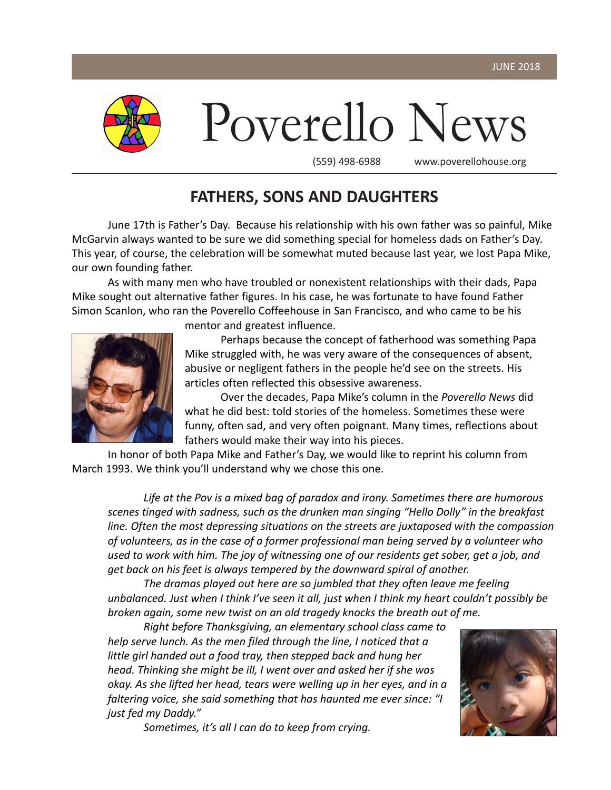

Poverello News

(559) 498-6988 www.poverellohouse.org

# **FATHERS, SONS AND DAUGHTERS**

June 17th is Father's Day. Because his relationship with his own father was so painful, Mike McGarvin always wanted to be sure we did something special for homeless dads on Father's Day. This year, of course, the celebration will be somewhat muted because last year, we lost Papa Mike, our own founding father.

As with many men who have troubled or nonexistent relationships with their dads, Papa Mike sought out alternative father figures. In his case, he was fortunate to have found Father Simon Scanlon, who ran the Poverello Coffeehouse in San Francisco, and who came to be his



mentor and greatest influence.

Perhaps because the concept of fatherhood was something Papa Mike struggled with, he was very aware of the consequences of absent, abusive or negligent fathers in the people he'd see on the streets. His articles often reflected this obsessive awareness.

Over the decades, Papa Mike's column in the *Poverello News* did what he did best: told stories of the homeless. Sometimes these were funny, often sad, and very often poignant. Many times, reflections about fathers would make their way into his pieces.

In honor of both Papa Mike and Father's Day, we would like to reprint his column from March 1993. We think you'll understand why we chose this one.

*Life at the Pov is a mixed bag of paradox and irony. Sometimes there are humorous scenes tinged with sadness, such as the drunken man singing "Hello Dolly" in the breakfast line. Often the most depressing situations on the streets are juxtaposed with the compassion of volunteers, as in the case of a former professional man being served by a volunteer who used to work with him. The joy of witnessing one of our residents get sober, get a job, and get back on his feet is always tempered by the downward spiral of another.*

*The dramas played out here are so jumbled that they often leave me feeling unbalanced. Just when I think I've seen it all, just when I think my heart couldn't possibly be broken again, some new twist on an old tragedy knocks the breath out of me.*

*Right before Thanksgiving, an elementary school class came to help serve lunch. As the men filed through the line, I noticed that a little girl handed out a food tray, then stepped back and hung her head. Thinking she might be ill, I went over and asked her if she was okay. As she lifted her head, tears were welling up in her eyes, and in a faltering voice, she said something that has haunted me ever since: "I just fed my Daddy."*



*Sometimes, it's all I can do to keep from crying.*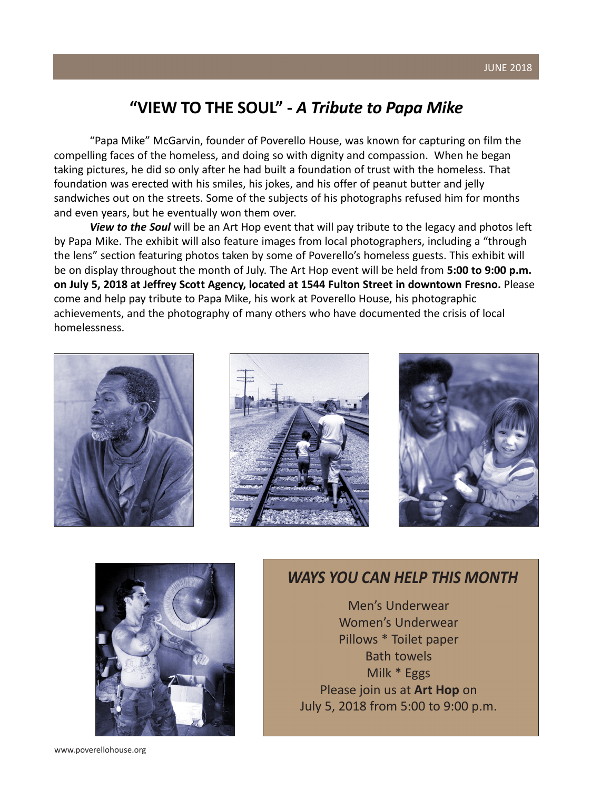#### JUNE 2018

## **"VIEW TO THE SOUL" -** *A Tribute to Papa Mike*

"Papa Mike" McGarvin, founder of Poverello House, was known for capturing on film the compelling faces of the homeless, and doing so with dignity and compassion. When he began taking pictures, he did so only after he had built a foundation of trust with the homeless. That foundation was erected with his smiles, his jokes, and his offer of peanut butter and jelly sandwiches out on the streets. Some of the subjects of his photographs refused him for months and even years, but he eventually won them over.

*View to the Soul* will be an Art Hop event that will pay tribute to the legacy and photos left by Papa Mike. The exhibit will also feature images from local photographers, including a "through the lens" section featuring photos taken by some of Poverello's homeless guests. This exhibit will be on display throughout the month of July. The Art Hop event will be held from **5:00 to 9:00 p.m. on July 5, 2018 at Jeffrey Scott Agency, located at 1544 Fulton Street in downtown Fresno.** Please come and help pay tribute to Papa Mike, his work at Poverello House, his photographic achievements, and the photography of many others who have documented the crisis of local homelessness.









### *WAYS YOU CAN HELP THIS MONTH*

Men's Underwear Women's Underwear Pillows \* Toilet paper Bath towels Milk \* Eggs Please join us at **Art Hop** on July 5, 2018 from 5:00 to 9:00 p.m.